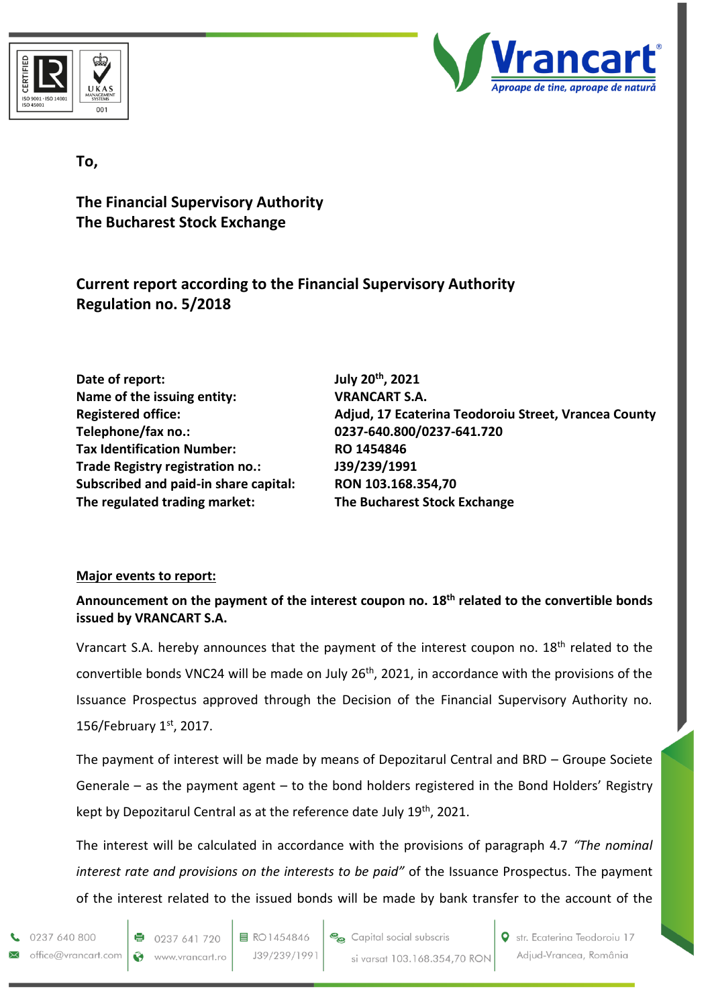



## **To,**

**The Financial Supervisory Authority The Bucharest Stock Exchange**

**Current report according to the Financial Supervisory Authority Regulation no. 5/2018**

**Date of report: Name of the issuing entity: VRANCART S.A. Telephone/fax no.: 0237-640.800/0237-641.720 Tax Identification Number: RO 1454846 Trade Registry registration no.: J39/239/1991 Subscribed and paid-in share capital: RON 103.168.354,70 The regulated trading market: The Bucharest Stock Exchange**

July 20<sup>th</sup>, 2021 **Registered office: Adjud, 17 Ecaterina Teodoroiu Street, Vrancea County**

## **Major events to report:**

**Announcement on the payment of the interest coupon no. 18 th related to the convertible bonds issued by VRANCART S.A.**

Vrancart S.A. hereby announces that the payment of the interest coupon no. 18<sup>th</sup> related to the convertible bonds VNC24 will be made on July 26th, 2021, in accordance with the provisions of the Issuance Prospectus approved through the Decision of the Financial Supervisory Authority no. 156/February 1st, 2017.

The payment of interest will be made by means of Depozitarul Central and BRD – Groupe Societe Generale – as the payment agent – to the bond holders registered in the Bond Holders' Registry kept by Depozitarul Central as at the reference date July 19<sup>th</sup>, 2021.

The interest will be calculated in accordance with the provisions of paragraph 4.7 *"The nominal interest rate and provisions on the interests to be paid"* of the Issuance Prospectus. The payment of the interest related to the issued bonds will be made by bank transfer to the account of the

0237 640 800 office@vrancart.com

**O** str. Ecaterina Teodoroiu 17 Adjud-Vrancea, România